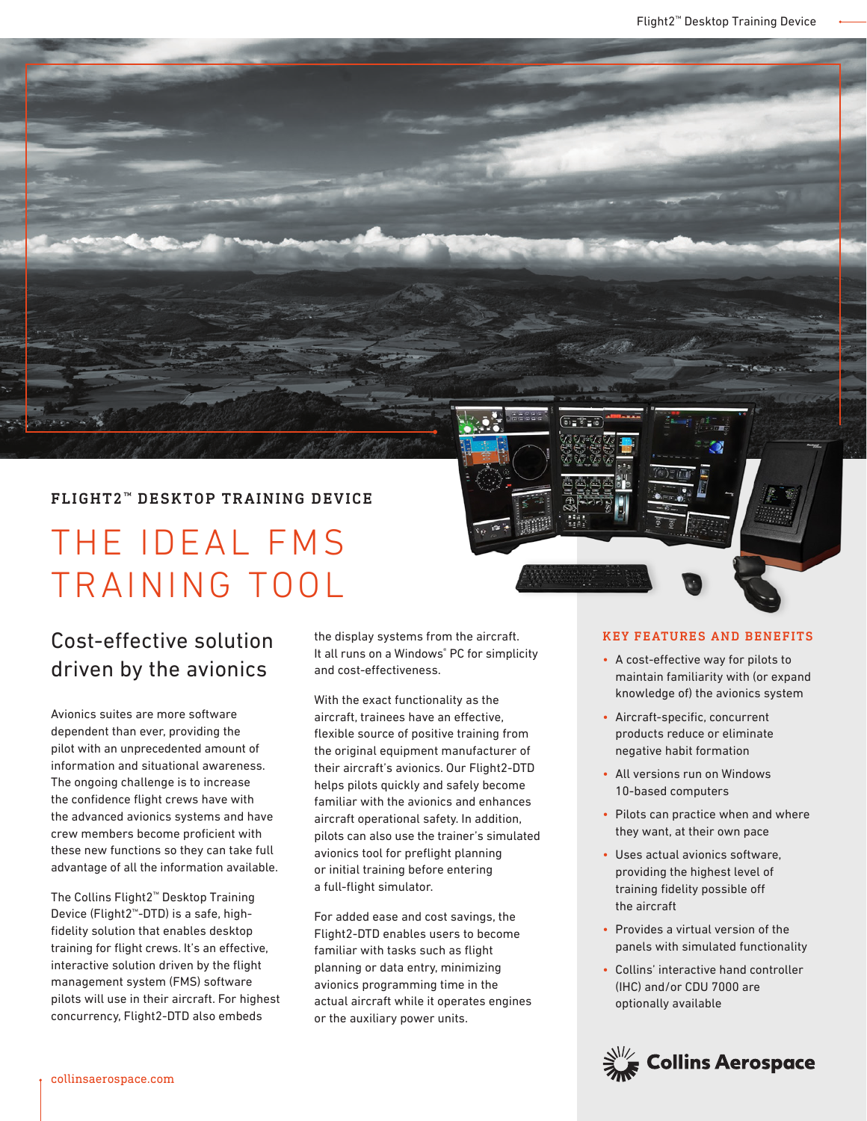## FLIGHT2<sup>™</sup> DESKTOP TRAINING DEVICE

# THE IDEAL FMS TRAINING TOOL

# Cost-effective solution driven by the avionics

Avionics suites are more software dependent than ever, providing the pilot with an unprecedented amount of information and situational awareness. The ongoing challenge is to increase the confidence flight crews have with the advanced avionics systems and have crew members become proficient with these new functions so they can take full advantage of all the information available.

The Collins Flight2™ Desktop Training Device (Flight2™-DTD) is a safe, highfidelity solution that enables desktop training for flight crews. It's an effective, interactive solution driven by the flight management system (FMS) software pilots will use in their aircraft. For highest concurrency, Flight2-DTD also embeds

the display systems from the aircraft. It all runs on a Windows® PC for simplicity and cost-effectiveness.

With the exact functionality as the aircraft, trainees have an effective, flexible source of positive training from the original equipment manufacturer of their aircraft's avionics. Our Flight2-DTD helps pilots quickly and safely become familiar with the avionics and enhances aircraft operational safety. In addition, pilots can also use the trainer's simulated avionics tool for preflight planning or initial training before entering a full-flight simulator.

For added ease and cost savings, the Flight2-DTD enables users to become familiar with tasks such as flight planning or data entry, minimizing avionics programming time in the actual aircraft while it operates engines or the auxiliary power units.

#### KEY FEATURES AND BENEFITS

- A cost-effective way for pilots to maintain familiarity with (or expand knowledge of) the avionics system
- Aircraft-specific, concurrent products reduce or eliminate negative habit formation
- All versions run on Windows 10-based computers
- Pilots can practice when and where they want, at their own pace
- Uses actual avionics software, providing the highest level of training fidelity possible off the aircraft
- Provides a virtual version of the panels with simulated functionality
- Collins' interactive hand controller (IHC) and/or CDU 7000 are optionally available